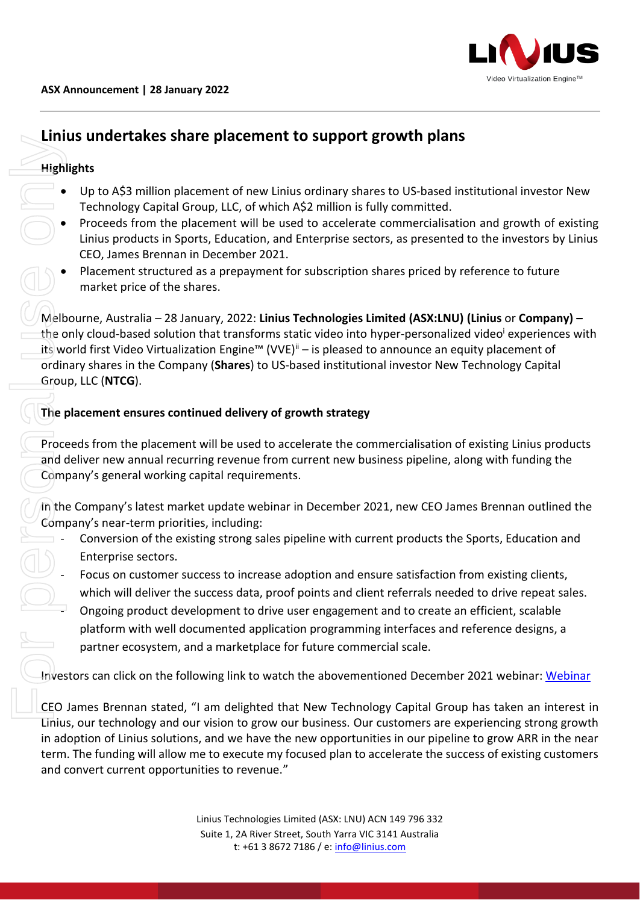

# **Linius undertakes share placement to support growth plans**

## **Highlights**

- Up to A\$3 million placement of new Linius ordinary shares to US-based institutional investor New Technology Capital Group, LLC, of which A\$2 million is fully committed.
- Proceeds from the placement will be used to accelerate commercialisation and growth of existing Linius products in Sports, Education, and Enterprise sectors, as presented to the investors by Linius CEO, James Brennan in December 2021.
- Placement structured as a prepayment for subscription shares priced by reference to future market price of the shares.

Melbourne, Australia – 28 January, 2022: **Linius Technologies Limited (ASX:LNU) (Linius** or **Company) –** the only cloud-based solution that transforms static video into hyper-personalized video<sup>i</sup> experiences with its world first Video Virtualization Engine™ (VVE)<sup>ii</sup> – is pleased to announce an equity placement of ordinary shares in the Company (**Shares**) to US-based institutional investor New Technology Capital Group, LLC (**NTCG**). **Example 1**<br> **Example 19 ASS million placement of new Linds Convert current opportunities to recorded Source of the placement will be user-<br>
The Proceeds from the placement will be user-<br>
<b>Example 19 And Convert current of** 

### **The placement ensures continued delivery of growth strategy**

Proceeds from the placement will be used to accelerate the commercialisation of existing Linius products and deliver new annual recurring revenue from current new business pipeline, along with funding the Company's general working capital requirements.

In the Company's latest market update webinar in December 2021, new CEO James Brennan outlined the Company's near-term priorities, including:

- Conversion of the existing strong sales pipeline with current products the Sports, Education and Enterprise sectors.
- Focus on customer success to increase adoption and ensure satisfaction from existing clients, which will deliver the success data, proof points and client referrals needed to drive repeat sales.
- Ongoing product development to drive user engagement and to create an efficient, scalable platform with well documented application programming interfaces and reference designs, a partner ecosystem, and a marketplace for future commercial scale.

Investors can click on the following link to watch the abovementioned December 2021 webinar: [Webinar](https://www.linius.com/presentations/linius-video-market-update-december-2021/)

CEO James Brennan stated, "I am delighted that New Technology Capital Group has taken an interest in Linius, our technology and our vision to grow our business. Our customers are experiencing strong growth in adoption of Linius solutions, and we have the new opportunities in our pipeline to grow ARR in the near term. The funding will allow me to execute my focused plan to accelerate the success of existing customers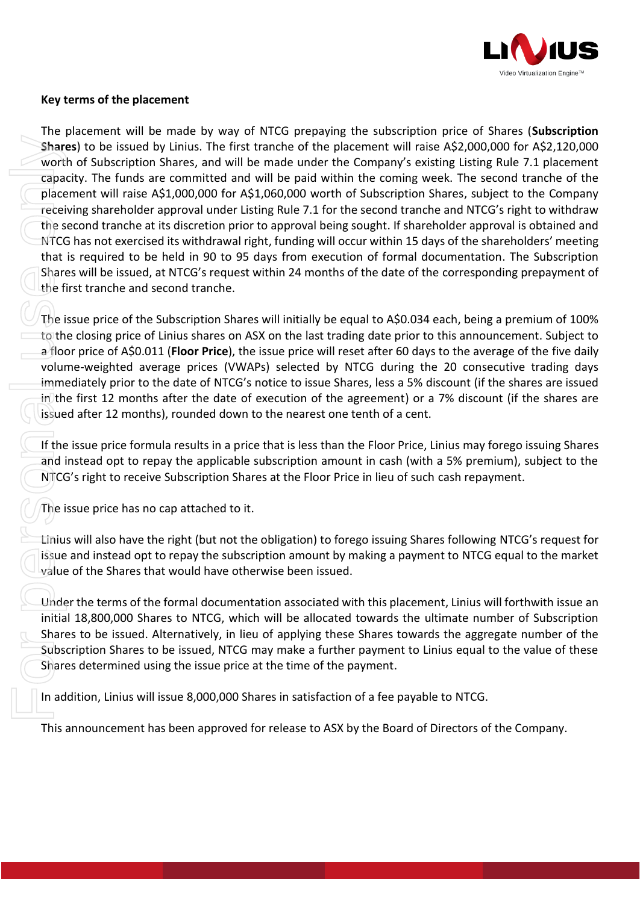

#### **Key terms of the placement**

The placement will be made by way of NTCG prepaying the subscription price of Shares (**Subscription Shares**) to be issued by Linius. The first tranche of the placement will raise A\$2,000,000 for A\$2,120,000 worth of Subscription Shares, and will be made under the Company's existing Listing Rule 7.1 placement capacity. The funds are committed and will be paid within the coming week. The second tranche of the placement will raise A\$1,000,000 for A\$1,060,000 worth of Subscription Shares, subject to the Company receiving shareholder approval under Listing Rule 7.1 for the second tranche and NTCG's right to withdraw the second tranche at its discretion prior to approval being sought. If shareholder approval is obtained and NTCG has not exercised its withdrawal right, funding will occur within 15 days of the shareholders' meeting that is required to be held in 90 to 95 days from execution of formal documentation. The Subscription Shares will be issued, at NTCG's request within 24 months of the date of the corresponding prepayment of the first tranche and second tranche. Shares) to be issued by Univs. The first tranche of the placement will raise AS2,000,000 for AS2,1,000,000 for AS2,1,000,000 for AS2,1,000,000 for AS2,1,000,000 for AS2,1,000,000 for AS2,1,000,000 for AS2,1,000,000 for AS1

The issue price of the Subscription Shares will initially be equal to A\$0.034 each, being a premium of 100% to the closing price of Linius shares on ASX on the last trading date prior to this announcement. Subject to a floor price of A\$0.011 (**Floor Price**), the issue price will reset after 60 days to the average of the five daily volume-weighted average prices (VWAPs) selected by NTCG during the 20 consecutive trading days immediately prior to the date of NTCG's notice to issue Shares, less a 5% discount (if the shares are issued in the first 12 months after the date of execution of the agreement) or a 7% discount (if the shares are issued after 12 months), rounded down to the nearest one tenth of a cent.

If the issue price formula results in a price that is less than the Floor Price, Linius may forego issuing Shares and instead opt to repay the applicable subscription amount in cash (with a 5% premium), subject to the NTCG's right to receive Subscription Shares at the Floor Price in lieu of such cash repayment.

The issue price has no cap attached to it.

Linius will also have the right (but not the obligation) to forego issuing Shares following NTCG's request for issue and instead opt to repay the subscription amount by making a payment to NTCG equal to the market value of the Shares that would have otherwise been issued.

Under the terms of the formal documentation associated with this placement, Linius will forthwith issue an initial 18,800,000 Shares to NTCG, which will be allocated towards the ultimate number of Subscription Shares to be issued. Alternatively, in lieu of applying these Shares towards the aggregate number of the Subscription Shares to be issued, NTCG may make a further payment to Linius equal to the value of these Shares determined using the issue price at the time of the payment.

In addition, Linius will issue 8,000,000 Shares in satisfaction of a fee payable to NTCG.